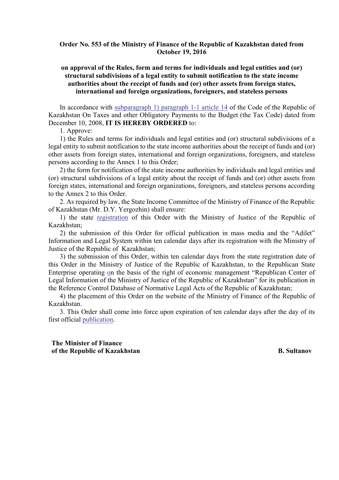### **Order No. 553 of the Ministry of Finance of the Republic of Kazakhstan dated from October 19, 2016**

# **on approval of the Rules, form and terms for individuals and legal entities and (or) structural subdivisions of a legal entity to submit notification to the state income authorities about the receipt of funds and (or) other assets from foreign states, international and foreign organizations, foreigners, and stateless persons**

In accordance with subparagraph 1) paragraph 1-1 article 14 of the Code of the Republic of Kazakhstan On Taxes and other Obligatory Payments to the Budget (the Tax Code) dated from December 10, 2008, **IT IS HEREBY ORDERED** to:

1. Approve:

1) the Rules and terms for individuals and legal entities and (or) structural subdivisions of a legal entity to submit notification to the state income authorities about the receipt of funds and (or) other assets from foreign states, international and foreign organizations, foreigners, and stateless persons according to the Annex 1 to this Order;

2) the form for notification of the state income authorities by individuals and legal entities and (or) structural subdivisions of a legal entity about the receipt of funds and (or) other assets from foreign states, international and foreign organizations, foreigners, and stateless persons according to the Annex 2 to this Order.

2. As required by law, the State Income Committee of the Ministry of Finance of the Republic of Kazakhstan (Mr. D.Y. Yergozhin) shall ensure:

1) the state registration of this Order with the Ministry of Justice of the Republic of Kazakhstan;

2) the submission of this Order for official publication in mass media and the "Adilet" Information and Legal System within ten calendar days after its registration with the Ministry of Justice of the Republic of Kazakhstan;

3) the submission of this Order, within ten calendar days from the state registration date of this Order in the Ministry of Justice of the Republic of Kazakhstan, to the Republican State Enterprise operating on the basis of the right of economic management "Republican Center of Legal Information of the Ministry of Justice of the Republic of Kazakhstan" for its publication in the Reference Control Database of Normative Legal Acts of the Republic of Kazakhstan;

4) the placement of this Order on the website of the Ministry of Finance of the Republic of Kazakhstan.

3. This Order shall come into force upon expiration of ten calendar days after the day of its first official publication.

**The Minister of Finance of the Republic of Kazakhstan B. Sultanov**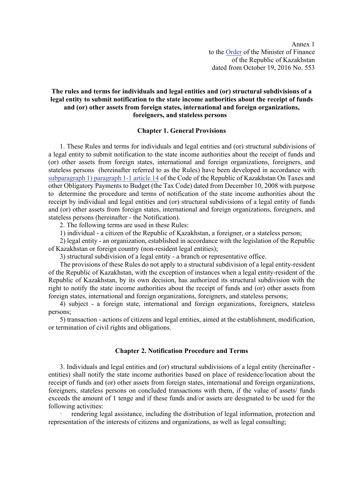Annex 1 to the Order of the Minister of Finance of the Republic of Kazakhstan dated from October 19, 2016 No. 553

# **The rules and terms for individuals and legal entities and (or) structural subdivisions of a legal entity to submit notification to the state income authorities about the receipt of funds and (or) other assets from foreign states, international and foreign organizations, foreigners, and stateless persons**

#### **Chapter 1. General Provisions**

1. These Rules and terms for individuals and legal entities and (or) structural subdivisions of a legal entity to submit notification to the state income authorities about the receipt of funds and (or) other assets from foreign states, international and foreign organizations, foreigners, and stateless persons (hereinafter referred to as the Rules) have been developed in accordance with subparagraph 1) paragraph 1-1 article 14 of the Code of the Republic of Kazakhstan On Taxes and other Obligatory Payments to Budget (the Tax Code) dated from December 10, 2008 with purpose to determine the procedure and terms of notification of the state income authorities about the receipt by individual and legal entities and (or) structural subdivisions of a legal entity of funds and (or) other assets from foreign states, international and foreign organizations, foreigners, and stateless persons (hereinafter - the Notification).

2. The following terms are used in these Rules:

1) individual - a citizen of the Republic of Kazakhstan, a foreigner, or a stateless person;

2) legal entity - an organization, established in accordance with the legislation of the Republic of Kazakhstan or foreign country (non-resident legal entities);

3) structural subdivision of a legal entity - a branch or representative office.

The provisions of these Rules do not apply to a structural subdivision of a legal entity-resident of the Republic of Kazakhstan, with the exception of instances when a legal entity-resident of the Republic of Kazakhstan, by its own decision, has authorized its structural subdivision with the right to notify the state income authorities about the receipt of funds and (or) other assets from foreign states, international and foreign organizations, foreigners, and stateless persons;

4) subject - a foreign state, international and foreign organizations, foreigners, stateless persons;

5) transaction - actions of citizens and legal entities, aimed at the establishment, modification, or termination of civil rights and obligations.

#### **Chapter 2. Notification Procedure and Terms**

3. Individuals and legal entities and (or) structural subdivisions of a legal entity (hereinafter entities) shall notify the state income authorities based on place of residence/location about the receipt of funds and (or) other assets from foreign states, international and foreign organizations, foreigners, stateless persons on concluded transactions with them, if the value of assets/ funds exceeds the amount of 1 tenge and if these funds and/or assets are designated to be used for the following activities:

rendering legal assistance, including the distribution of legal information, protection and representation of the interests of citizens and organizations, as well as legal consulting;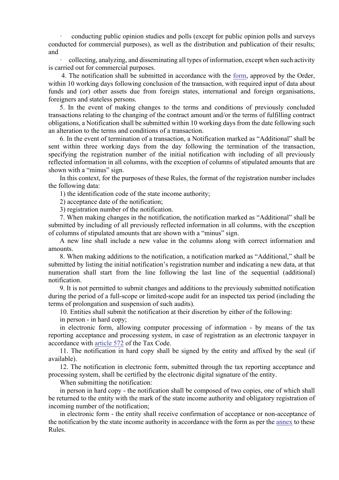· conducting public opinion studies and polls (except for public opinion polls and surveys conducted for commercial purposes), as well as the distribution and publication of their results; and

· collecting, analyzing, and disseminating all types of information, except when such activity is carried out for commercial purposes.

4. The notification shall be submitted in accordance with the form, approved by the Order, within 10 working days following conclusion of the transaction, with required input of data about funds and (or) other assets due from foreign states, international and foreign organisations, foreigners and stateless persons.

5. In the event of making changes to the terms and conditions of previously concluded transactions relating to the changing of the contract amount and/or the terms of fulfilling contract obligations, a Notification shall be submitted within 10 working days from the date following such an alteration to the terms and conditions of a transaction.

6. In the event of termination of a transaction, a Notification marked as "Additional" shall be sent within three working days from the day following the termination of the transaction, specifying the registration number of the initial notification with including of all previously reflected information in all columns, with the exception of columns of stipulated amounts that are shown with a "minus" sign.

In this context, for the purposes of these Rules, the format of the registration number includes the following data:

1) the identification code of the state income authority;

2) acceptance date of the notification;

3) registration number of the notification.

7. When making changes in the notification, the notification marked as "Additional" shall be submitted by including of all previously reflected information in all columns, with the exception of columns of stipulated amounts that are shown with a "minus" sign.

A new line shall include a new value in the columns along with correct information and amounts.

8. When making additions to the notification, a notification marked as "Additional," shall be submitted by listing the initial notification's registration number and indicating a new data, at that numeration shall start from the line following the last line of the sequential (additional) notification.

9. It is not permitted to submit changes and additions to the previously submitted notification during the period of a full-scope or limited-scope audit for an inspected tax period (including the terms of prolongation and suspension of such audits).

10. Entities shall submit the notification at their discretion by either of the following:

in person - in hard copy;

in electronic form, allowing computer processing of information - by means of the tax reporting acceptance and processing system, in case of registration as an electronic taxpayer in accordance with article 572 of the Tax Code.

11. The notification in hard copy shall be signed by the entity and affixed by the seal (if available).

12. The notification in electronic form, submitted through the tax reporting acceptance and processing system, shall be certified by the electronic digital signature of the entity.

When submitting the notification:

in person in hard copy - the notification shall be composed of two copies, one of which shall be returned to the entity with the mark of the state income authority and obligatory registration of incoming number of the notification;

in electronic form - the entity shall receive confirmation of acceptance or non-acceptance of the notification by the state income authority in accordance with the form as per the annex to these Rules.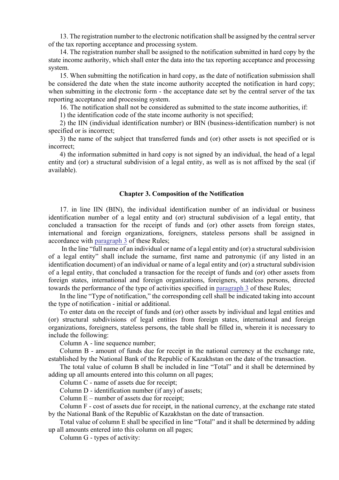13. The registration number to the electronic notification shall be assigned by the central server of the tax reporting acceptance and processing system.

14. The registration number shall be assigned to the notification submitted in hard copy by the state income authority, which shall enter the data into the tax reporting acceptance and processing system.

15. When submitting the notification in hard copy, as the date of notification submission shall be considered the date when the state income authority accepted the notification in hard copy; when submitting in the electronic form - the acceptance date set by the central server of the tax reporting acceptance and processing system.

16. The notification shall not be considered as submitted to the state income authorities, if:

1) the identification code of the state income authority is not specified;

2) the IIN (individual identification number) or BIN (business-identification number) is not specified or is incorrect;

3) the name of the subject that transferred funds and (or) other assets is not specified or is incorrect;

4) the information submitted in hard copy is not signed by an individual, the head of a legal entity and (or) a structural subdivision of a legal entity, as well as is not affixed by the seal (if available).

#### **Chapter 3. Composition of the Notification**

17. in line IIN (BIN), the individual identification number of an individual or business identification number of a legal entity and (or) structural subdivision of a legal entity, that concluded a transaction for the receipt of funds and (or) other assets from foreign states, international and foreign organizations, foreigners, stateless persons shall be assigned in accordance with paragraph 3 of these Rules;

In the line "full name of an individual or name of a legal entity and (or) a structural subdivision of a legal entity" shall include the surname, first name and patronymic (if any listed in an identification document) of an individual or name of a legal entity and (or) a structural subdivision of a legal entity, that concluded a transaction for the receipt of funds and (or) other assets from foreign states, international and foreign organizations, foreigners, stateless persons, directed towards the performance of the type of activities specified in paragraph 3 of these Rules;

In the line "Type of notification," the corresponding cell shall be indicated taking into account the type of notification - initial or additional.

To enter data on the receipt of funds and (or) other assets by individual and legal entities and (or) structural subdivisions of legal entities from foreign states, international and foreign organizations, foreigners, stateless persons, the table shall be filled in, wherein it is necessary to include the following:

Column A - line sequence number;

Column B - amount of funds due for receipt in the national currency at the exchange rate, established by the National Bank of the Republic of Kazakhstan on the date of the transaction.

The total value of column B shall be included in line "Total" and it shall be determined by adding up all amounts entered into this column on all pages;

Column C - name of assets due for receipt;

Column D - identification number (if any) of assets;

Column E – number of assets due for receipt;

Column F - cost of assets due for receipt, in the national currency, at the exchange rate stated by the National Bank of the Republic of Kazakhstan on the date of transaction.

Total value of column E shall be specified in line "Total" and it shall be determined by adding up all amounts entered into this column on all pages;

Column G - types of activity: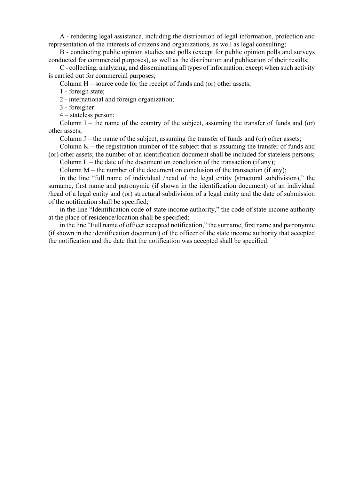A - rendering legal assistance, including the distribution of legal information, protection and representation of the interests of citizens and organizations, as well as legal consulting;

B - conducting public opinion studies and polls (except for public opinion polls and surveys conducted for commercial purposes), as well as the distribution and publication of their results;

C - collecting, analyzing, and disseminating all types of information, except when such activity is carried out for commercial purposes;

Column H – source code for the receipt of funds and (or) other assets;

1 - foreign state;

2 - international and foreign organization;

3 - foreigner:

4 – stateless person;

Column I – the name of the country of the subject, assuming the transfer of funds and (or) other assets;

Column  $J$  – the name of the subject, assuming the transfer of funds and (or) other assets;

Column  $K$  – the registration number of the subject that is assuming the transfer of funds and (or) other assets; the number of an identification document shall be included for stateless persons; Column  $L$  – the date of the document on conclusion of the transaction (if any);

Column  $M$  – the number of the document on conclusion of the transaction (if any);

in the line "full name of individual /head of the legal entity (structural subdivision)," the surname, first name and patronymic (if shown in the identification document) of an individual /head of a legal entity and (or) structural subdivision of a legal entity and the date of submission of the notification shall be specified;

in the line "Identification code of state income authority," the code of state income authority at the place of residence/location shall be specified;

in the line "Full name of officer accepted notification," the surname, first name and patronymic (if shown in the identification document) of the officer of the state income authority that accepted the notification and the date that the notification was accepted shall be specified.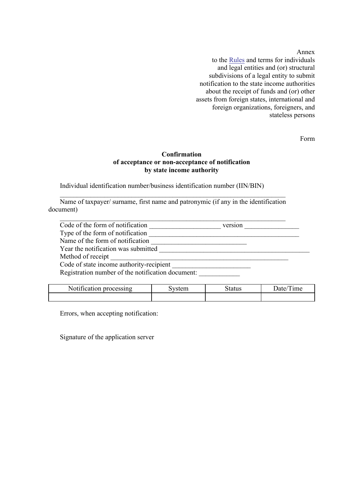Annex

to the Rules and terms for individuals and legal entities and (or) structural subdivisions of a legal entity to submit notification to the state income authorities about the receipt of funds and (or) other assets from foreign states, international and foreign organizations, foreigners, and stateless persons

Form

### **Confirmation of acceptance or non-acceptance of notification by state income authority**

Individual identification number/business identification number (IIN/BIN)

Name of taxpayer/ surname, first name and patronymic (if any in the identification document)

 $\mathcal{L}_\text{max} = \mathcal{L}_\text{max} = \mathcal{L}_\text{max} = \mathcal{L}_\text{max} = \mathcal{L}_\text{max} = \mathcal{L}_\text{max} = \mathcal{L}_\text{max} = \mathcal{L}_\text{max} = \mathcal{L}_\text{max} = \mathcal{L}_\text{max} = \mathcal{L}_\text{max} = \mathcal{L}_\text{max} = \mathcal{L}_\text{max} = \mathcal{L}_\text{max} = \mathcal{L}_\text{max} = \mathcal{L}_\text{max} = \mathcal{L}_\text{max} = \mathcal{L}_\text{max} = \mathcal{$ 

| Code of the form of notification                  | version |  |
|---------------------------------------------------|---------|--|
| Type of the form of notification                  |         |  |
| Name of the form of notification                  |         |  |
| Year the notification was submitted               |         |  |
| Method of receipt                                 |         |  |
| Code of state income authority-recipient          |         |  |
| Registration number of the notification document: |         |  |

| --<br>.ocessing<br>n<br>N<br>ш | -----<br>.cm | atus | <sub>1</sub> me |
|--------------------------------|--------------|------|-----------------|
|                                |              |      |                 |

Errors, when accepting notification:

Signature of the application server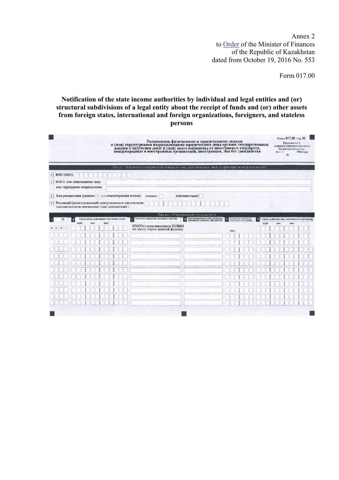Annex 2 to **Order** of the Minister of Finances of the Republic of Kazakhstan dated from October 19, 2016 No. 553

Form 017.00

## **Notification of the state income authorities by individual and legal entities and (or) structural subdivisions of a legal entity about the receipt of funds and (or) other assets from foreign states, international and foreign organizations, foreigners, and stateless persons**

| Уведомление физическими и юридическими лицами<br>и (или) структурными подразделениями юридического лица органов государственных<br>к приказу Министра финансов<br>доходов о получении денег и (или) иного имущества от иностранных государств,<br>международных и иностранных организаций, иностранцев, лиц без гражданства |                                |                                              |  |  |
|-----------------------------------------------------------------------------------------------------------------------------------------------------------------------------------------------------------------------------------------------------------------------------------------------------------------------------|--------------------------------|----------------------------------------------|--|--|
| Раздел. Обшая информация о физическом лице, юридическом лице (структурном подразделении)                                                                                                                                                                                                                                    |                                |                                              |  |  |
| ИИН (БИН)<br>$\mathbf{H}$                                                                                                                                                                                                                                                                                                   |                                |                                              |  |  |
| Ф.И.О. или наименование лица<br>2 <sub>1</sub>                                                                                                                                                                                                                                                                              |                                |                                              |  |  |
| или структурного подразделения                                                                                                                                                                                                                                                                                              |                                |                                              |  |  |
| Вид уведомления (укажите х в соответствующей ячейке): основное<br>3 <sup>1</sup><br>дополнительное                                                                                                                                                                                                                          |                                |                                              |  |  |
| Входящий (регистрационный) номер основного уведомления:<br>4                                                                                                                                                                                                                                                                |                                |                                              |  |  |
| (заполняется в случае отметки в поле 3 вида "дополнительное")                                                                                                                                                                                                                                                               |                                |                                              |  |  |
| Разлел. Информация по сделкам<br>D Иденто икационный номер имущества.<br>Наименование имущества, подлежащего получению<br>Сумма денег, подлежащих получению (тенге)<br>N <sub>2</sub>                                                                                                                                       |                                | • Стоимость имущества, подлежащего получению |  |  |
| asupo).<br>MRH<br>musc                                                                                                                                                                                                                                                                                                      | Количество имущества.<br>млро. | MUM.<br>тыс                                  |  |  |
| ИТОГО (строка заполняется ТОЛЬКО<br>$\theta$<br>$\mathbf{0}$<br>по итогу строк данной формы)                                                                                                                                                                                                                                | тыс.                           |                                              |  |  |
|                                                                                                                                                                                                                                                                                                                             |                                |                                              |  |  |
|                                                                                                                                                                                                                                                                                                                             |                                |                                              |  |  |
|                                                                                                                                                                                                                                                                                                                             |                                |                                              |  |  |
|                                                                                                                                                                                                                                                                                                                             |                                |                                              |  |  |
|                                                                                                                                                                                                                                                                                                                             |                                |                                              |  |  |
|                                                                                                                                                                                                                                                                                                                             |                                |                                              |  |  |
|                                                                                                                                                                                                                                                                                                                             |                                |                                              |  |  |
|                                                                                                                                                                                                                                                                                                                             |                                |                                              |  |  |
|                                                                                                                                                                                                                                                                                                                             |                                |                                              |  |  |
|                                                                                                                                                                                                                                                                                                                             |                                |                                              |  |  |
|                                                                                                                                                                                                                                                                                                                             |                                |                                              |  |  |
|                                                                                                                                                                                                                                                                                                                             |                                |                                              |  |  |